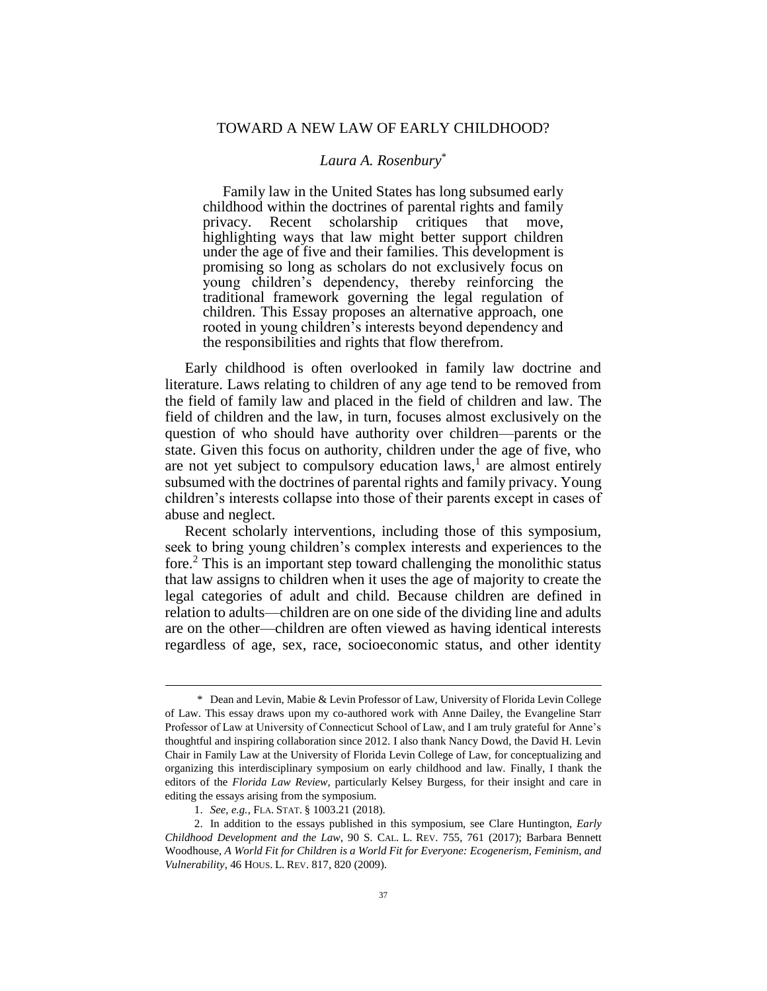## *Laura A. Rosenbury*\*

Family law in the United States has long subsumed early childhood within the doctrines of parental rights and family privacy. Recent scholarship critiques that move, highlighting ways that law might better support children under the age of five and their families. This development is promising so long as scholars do not exclusively focus on young children's dependency, thereby reinforcing the traditional framework governing the legal regulation of children. This Essay proposes an alternative approach, one rooted in young children's interests beyond dependency and the responsibilities and rights that flow therefrom.

Early childhood is often overlooked in family law doctrine and literature. Laws relating to children of any age tend to be removed from the field of family law and placed in the field of children and law. The field of children and the law, in turn, focuses almost exclusively on the question of who should have authority over children—parents or the state. Given this focus on authority, children under the age of five, who are not yet subject to compulsory education  $laws$ , are almost entirely subsumed with the doctrines of parental rights and family privacy. Young children's interests collapse into those of their parents except in cases of abuse and neglect.

Recent scholarly interventions, including those of this symposium, seek to bring young children's complex interests and experiences to the fore.<sup>2</sup> This is an important step toward challenging the monolithic status that law assigns to children when it uses the age of majority to create the legal categories of adult and child. Because children are defined in relation to adults—children are on one side of the dividing line and adults are on the other—children are often viewed as having identical interests regardless of age, sex, race, socioeconomic status, and other identity

<sup>\*</sup> Dean and Levin, Mabie & Levin Professor of Law, University of Florida Levin College of Law. This essay draws upon my co-authored work with Anne Dailey, the Evangeline Starr Professor of Law at University of Connecticut School of Law, and I am truly grateful for Anne's thoughtful and inspiring collaboration since 2012. I also thank Nancy Dowd, the David H. Levin Chair in Family Law at the University of Florida Levin College of Law, for conceptualizing and organizing this interdisciplinary symposium on early childhood and law. Finally, I thank the editors of the *Florida Law Review*, particularly Kelsey Burgess, for their insight and care in editing the essays arising from the symposium.

<sup>1.</sup> *See, e.g.,* FLA. STAT. § 1003.21 (2018).

<sup>2.</sup> In addition to the essays published in this symposium, see Clare Huntington, *Early Childhood Development and the Law*, 90 S. CAL. L. REV. 755, 761 (2017); Barbara Bennett Woodhouse, *A World Fit for Children is a World Fit for Everyone: Ecogenerism, Feminism, and Vulnerability*, 46 HOUS. L. REV. 817, 820 (2009).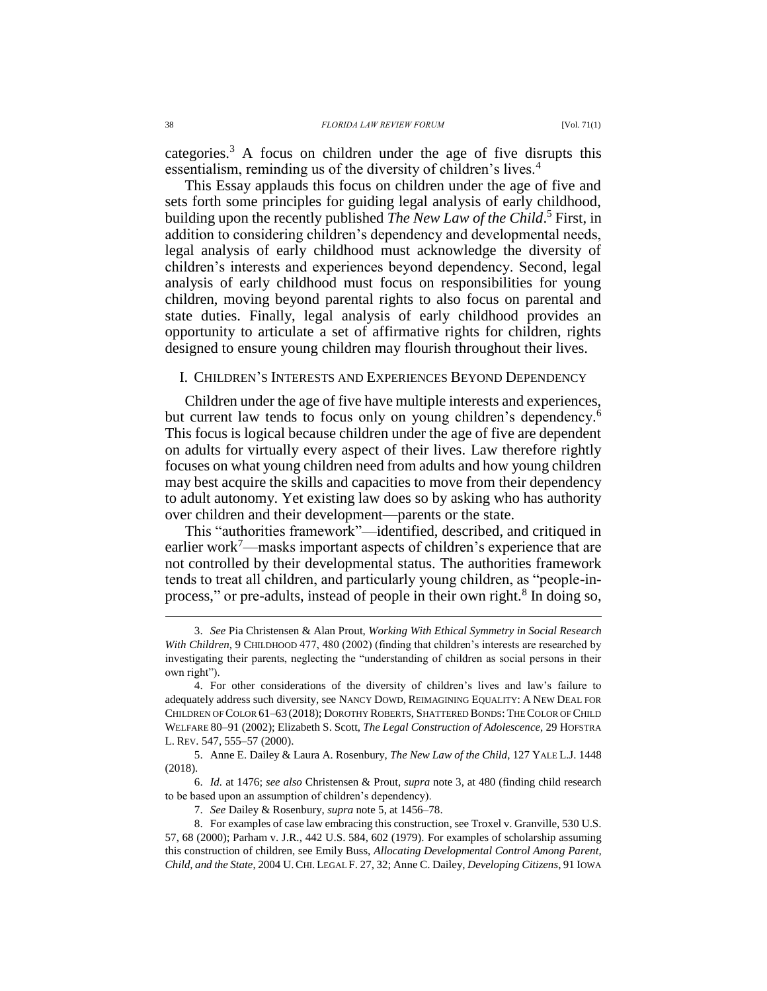<span id="page-1-0"></span>categories.<sup>3</sup> A focus on children under the age of five disrupts this essentialism, reminding us of the diversity of children's lives.<sup>4</sup>

<span id="page-1-2"></span><span id="page-1-1"></span>This Essay applauds this focus on children under the age of five and sets forth some principles for guiding legal analysis of early childhood, building upon the recently published *The New Law of the Child*. <sup>5</sup> First, in addition to considering children's dependency and developmental needs, legal analysis of early childhood must acknowledge the diversity of children's interests and experiences beyond dependency. Second, legal analysis of early childhood must focus on responsibilities for young children, moving beyond parental rights to also focus on parental and state duties. Finally, legal analysis of early childhood provides an opportunity to articulate a set of affirmative rights for children, rights designed to ensure young children may flourish throughout their lives.

## I. CHILDREN'S INTERESTS AND EXPERIENCES BEYOND DEPENDENCY

Children under the age of five have multiple interests and experiences, but current law tends to focus only on young children's dependency.<sup>6</sup> This focus is logical because children under the age of five are dependent on adults for virtually every aspect of their lives. Law therefore rightly focuses on what young children need from adults and how young children may best acquire the skills and capacities to move from their dependency to adult autonomy. Yet existing law does so by asking who has authority over children and their development—parents or the state.

This "authorities framework"—identified, described, and critiqued in earlier work<sup>7</sup>—masks important aspects of children's experience that are not controlled by their developmental status. The authorities framework tends to treat all children, and particularly young children, as "people-inprocess," or pre-adults, instead of people in their own right.<sup>8</sup> In doing so,

<span id="page-1-3"></span><sup>3.</sup> *See* Pia Christensen & Alan Prout, *Working With Ethical Symmetry in Social Research With Children*, 9 CHILDHOOD 477, 480 (2002) (finding that children's interests are researched by investigating their parents, neglecting the "understanding of children as social persons in their own right").

<sup>4.</sup> For other considerations of the diversity of children's lives and law's failure to adequately address such diversity, see NANCY DOWD, REIMAGINING EQUALITY: A NEW DEAL FOR CHILDREN OF COLOR 61–63 (2018); DOROTHY ROBERTS, SHATTERED BONDS: THE COLOR OF CHILD WELFARE 80–91 (2002); Elizabeth S. Scott, *The Legal Construction of Adolescence*, 29 HOFSTRA L. REV. 547, 555–57 (2000).

<sup>5.</sup> Anne E. Dailey & Laura A. Rosenbury, *The New Law of the Child*, 127 YALE L.J. 1448 (2018).

<sup>6.</sup> *Id.* at 1476; *see also* Christensen & Prout, *supra* note [3,](#page-1-0) at 480 (finding child research to be based upon an assumption of children's dependency).

<sup>7.</sup> *See* Dailey & Rosenbury, *supra* note [5,](#page-1-1) at 1456–78.

<sup>8.</sup> For examples of case law embracing this construction, see Troxel v. Granville, 530 U.S. 57, 68 (2000); Parham v. J.R., 442 U.S. 584, 602 (1979). For examples of scholarship assuming this construction of children, see Emily Buss, *Allocating Developmental Control Among Parent, Child, and the State*, 2004 U.CHI. LEGAL F. 27, 32; Anne C. Dailey, *Developing Citizens*, 91 IOWA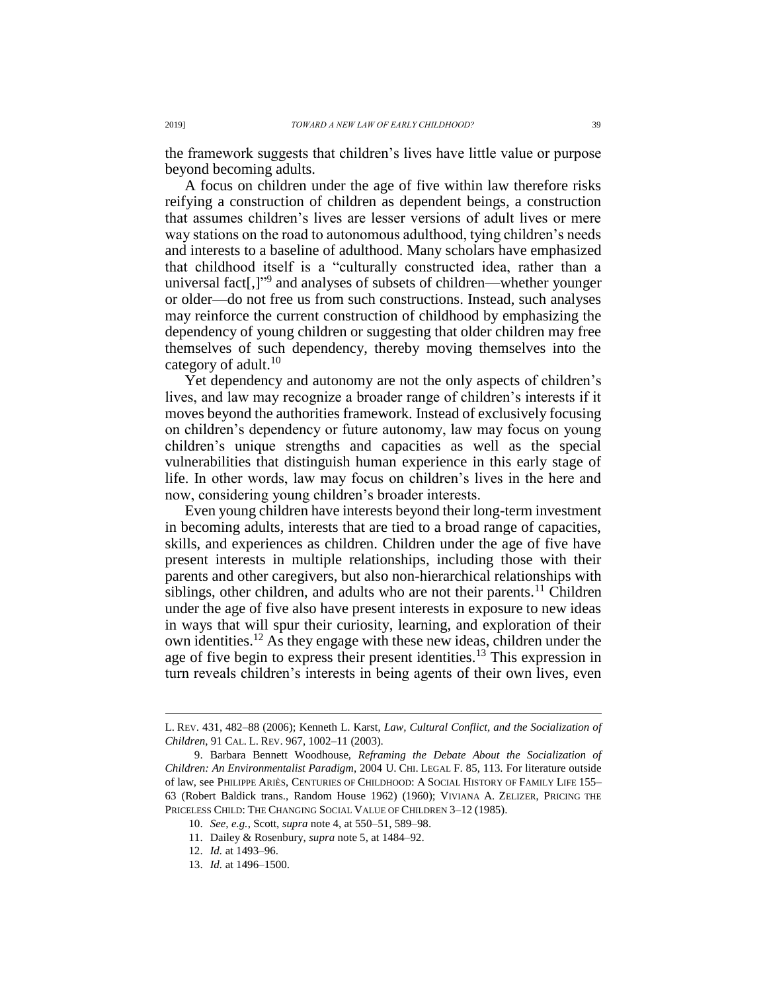the framework suggests that children's lives have little value or purpose beyond becoming adults.

A focus on children under the age of five within law therefore risks reifying a construction of children as dependent beings, a construction that assumes children's lives are lesser versions of adult lives or mere way stations on the road to autonomous adulthood, tying children's needs and interests to a baseline of adulthood. Many scholars have emphasized that childhood itself is a "culturally constructed idea, rather than a universal fact[,]" 9 and analyses of subsets of children—whether younger or older—do not free us from such constructions. Instead, such analyses may reinforce the current construction of childhood by emphasizing the dependency of young children or suggesting that older children may free themselves of such dependency, thereby moving themselves into the category of adult. $10$ 

Yet dependency and autonomy are not the only aspects of children's lives, and law may recognize a broader range of children's interests if it moves beyond the authorities framework. Instead of exclusively focusing on children's dependency or future autonomy, law may focus on young children's unique strengths and capacities as well as the special vulnerabilities that distinguish human experience in this early stage of life. In other words, law may focus on children's lives in the here and now, considering young children's broader interests.

Even young children have interests beyond their long-term investment in becoming adults, interests that are tied to a broad range of capacities, skills, and experiences as children. Children under the age of five have present interests in multiple relationships, including those with their parents and other caregivers, but also non-hierarchical relationships with siblings, other children, and adults who are not their parents.<sup>11</sup> Children under the age of five also have present interests in exposure to new ideas in ways that will spur their curiosity, learning, and exploration of their own identities.<sup>12</sup> As they engage with these new ideas, children under the age of five begin to express their present identities.<sup>13</sup> This expression in turn reveals children's interests in being agents of their own lives, even

L. REV. 431, 482–88 (2006); Kenneth L. Karst, *Law, Cultural Conflict, and the Socialization of Children*, 91 CAL. L. REV. 967, 1002–11 (2003).

<sup>9.</sup> Barbara Bennett Woodhouse, *Reframing the Debate About the Socialization of Children: An Environmentalist Paradigm*, 2004 U. CHI. LEGAL F. 85, 113. For literature outside of law, see PHILIPPE ARIÈS, CENTURIES OF CHILDHOOD: A SOCIAL HISTORY OF FAMILY LIFE 155– 63 (Robert Baldick trans., Random House 1962) (1960); VIVIANA A. ZELIZER, PRICING THE PRICELESS CHILD: THE CHANGING SOCIAL VALUE OF CHILDREN 3–12 (1985).

<sup>10.</sup> *See, e.g.*, Scott, *supra* not[e 4,](#page-1-2) at 550–51, 589–98.

<sup>11.</sup> Dailey & Rosenbury, *supra* not[e 5,](#page-1-1) at 1484–92.

<sup>12.</sup> *Id.* at 1493–96.

<sup>13.</sup> *Id.* at 1496–1500.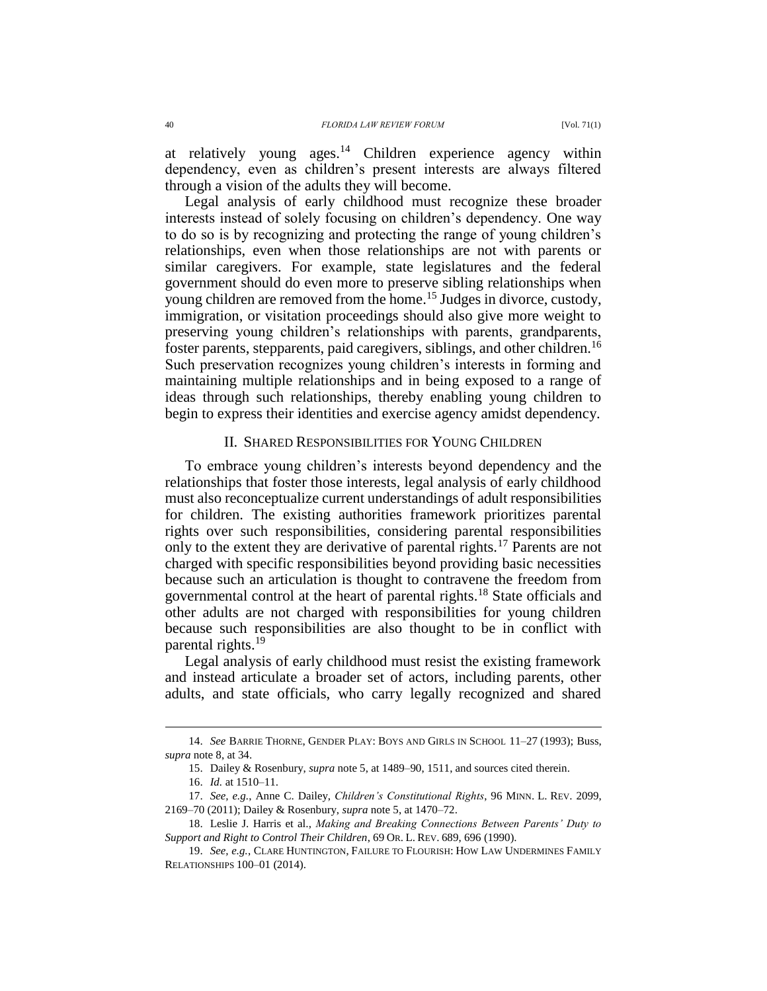at relatively young ages.<sup>14</sup> Children experience agency within dependency, even as children's present interests are always filtered through a vision of the adults they will become.

Legal analysis of early childhood must recognize these broader interests instead of solely focusing on children's dependency. One way to do so is by recognizing and protecting the range of young children's relationships, even when those relationships are not with parents or similar caregivers. For example, state legislatures and the federal government should do even more to preserve sibling relationships when young children are removed from the home.<sup>15</sup> Judges in divorce, custody, immigration, or visitation proceedings should also give more weight to preserving young children's relationships with parents, grandparents, foster parents, stepparents, paid caregivers, siblings, and other children.<sup>16</sup> Such preservation recognizes young children's interests in forming and maintaining multiple relationships and in being exposed to a range of ideas through such relationships, thereby enabling young children to begin to express their identities and exercise agency amidst dependency.

## II. SHARED RESPONSIBILITIES FOR YOUNG CHILDREN

To embrace young children's interests beyond dependency and the relationships that foster those interests, legal analysis of early childhood must also reconceptualize current understandings of adult responsibilities for children. The existing authorities framework prioritizes parental rights over such responsibilities, considering parental responsibilities only to the extent they are derivative of parental rights.<sup>17</sup> Parents are not charged with specific responsibilities beyond providing basic necessities because such an articulation is thought to contravene the freedom from governmental control at the heart of parental rights.<sup>18</sup> State officials and other adults are not charged with responsibilities for young children because such responsibilities are also thought to be in conflict with parental rights.<sup>19</sup>

Legal analysis of early childhood must resist the existing framework and instead articulate a broader set of actors, including parents, other adults, and state officials, who carry legally recognized and shared

<sup>14.</sup> *See* BARRIE THORNE, GENDER PLAY: BOYS AND GIRLS IN SCHOOL 11–27 (1993); Buss, *supra* not[e 8,](#page-1-3) at 34.

<sup>15.</sup> Dailey & Rosenbury, *supra* not[e 5,](#page-1-1) at 1489–90, 1511, and sources cited therein.

<sup>16.</sup> *Id.* at 1510–11.

<sup>17.</sup> *See, e.g.*, Anne C. Dailey, *Children's Constitutional Rights*, 96 MINN. L. REV. 2099, 2169–70 (2011); Dailey & Rosenbury, *supra* not[e 5,](#page-1-1) at 1470–72.

<sup>18.</sup> Leslie J. Harris et al., *Making and Breaking Connections Between Parents' Duty to Support and Right to Control Their Children*, 69 OR. L. REV. 689, 696 (1990).

<sup>19.</sup> *See, e.g.*, CLARE HUNTINGTON, FAILURE TO FLOURISH: HOW LAW UNDERMINES FAMILY RELATIONSHIPS 100–01 (2014).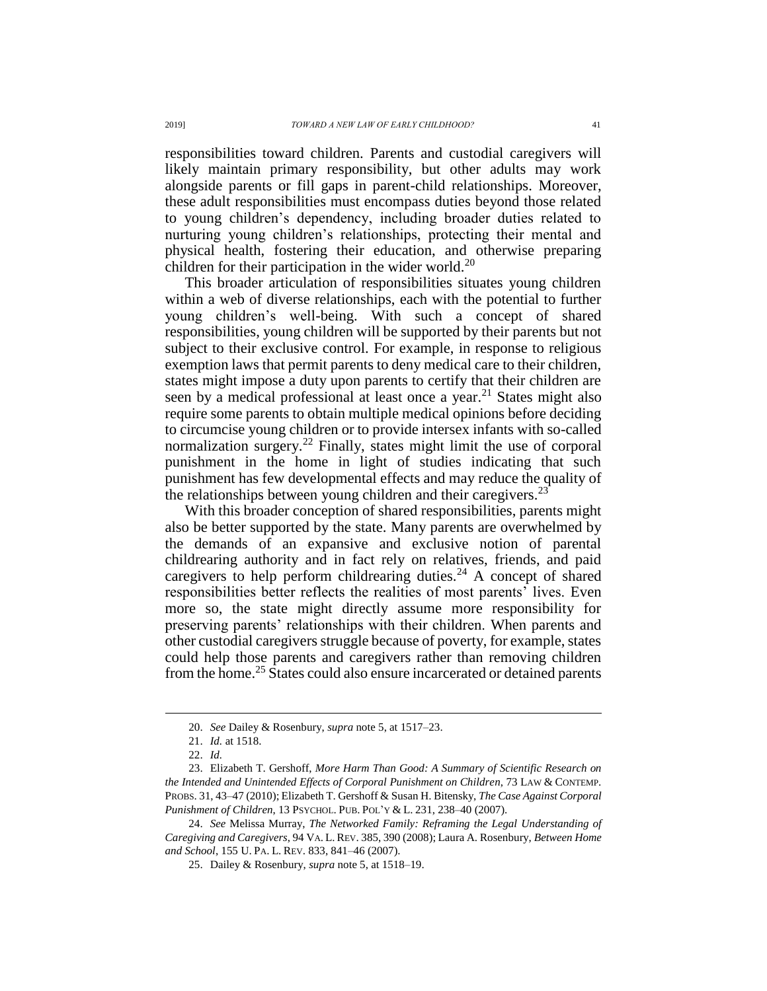responsibilities toward children. Parents and custodial caregivers will likely maintain primary responsibility, but other adults may work alongside parents or fill gaps in parent-child relationships. Moreover, these adult responsibilities must encompass duties beyond those related to young children's dependency, including broader duties related to nurturing young children's relationships, protecting their mental and physical health, fostering their education, and otherwise preparing children for their participation in the wider world.<sup>20</sup>

This broader articulation of responsibilities situates young children within a web of diverse relationships, each with the potential to further young children's well-being. With such a concept of shared responsibilities, young children will be supported by their parents but not subject to their exclusive control. For example, in response to religious exemption laws that permit parents to deny medical care to their children, states might impose a duty upon parents to certify that their children are seen by a medical professional at least once a year.<sup>21</sup> States might also require some parents to obtain multiple medical opinions before deciding to circumcise young children or to provide intersex infants with so-called normalization surgery.<sup>22</sup> Finally, states might limit the use of corporal punishment in the home in light of studies indicating that such punishment has few developmental effects and may reduce the quality of the relationships between young children and their caregivers. $^{23}$ 

With this broader conception of shared responsibilities, parents might also be better supported by the state. Many parents are overwhelmed by the demands of an expansive and exclusive notion of parental childrearing authority and in fact rely on relatives, friends, and paid caregivers to help perform childrearing duties.<sup>24</sup> A concept of shared responsibilities better reflects the realities of most parents' lives. Even more so, the state might directly assume more responsibility for preserving parents' relationships with their children. When parents and other custodial caregivers struggle because of poverty, for example, states could help those parents and caregivers rather than removing children from the home.<sup>25</sup> States could also ensure incarcerated or detained parents

<sup>20.</sup> *See* Dailey & Rosenbury, *supra* note [5,](#page-1-1) at 1517–23.

<sup>21.</sup> *Id.* at 1518.

<sup>22.</sup> *Id.*

<sup>23.</sup> Elizabeth T. Gershoff, *More Harm Than Good: A Summary of Scientific Research on the Intended and Unintended Effects of Corporal Punishment on Children*, 73 LAW & CONTEMP. PROBS. 31, 43–47 (2010); Elizabeth T. Gershoff & Susan H. Bitensky, *The Case Against Corporal Punishment of Children*, 13 PSYCHOL. PUB. POL'Y & L. 231, 238–40 (2007).

<sup>24.</sup> *See* Melissa Murray, *The Networked Family: Reframing the Legal Understanding of Caregiving and Caregivers*, 94 VA. L. REV. 385, 390 (2008); Laura A. Rosenbury, *Between Home and School*, 155 U. PA. L. REV. 833, 841–46 (2007).

<sup>25.</sup> Dailey & Rosenbury, *supra* not[e 5,](#page-1-1) at 1518–19.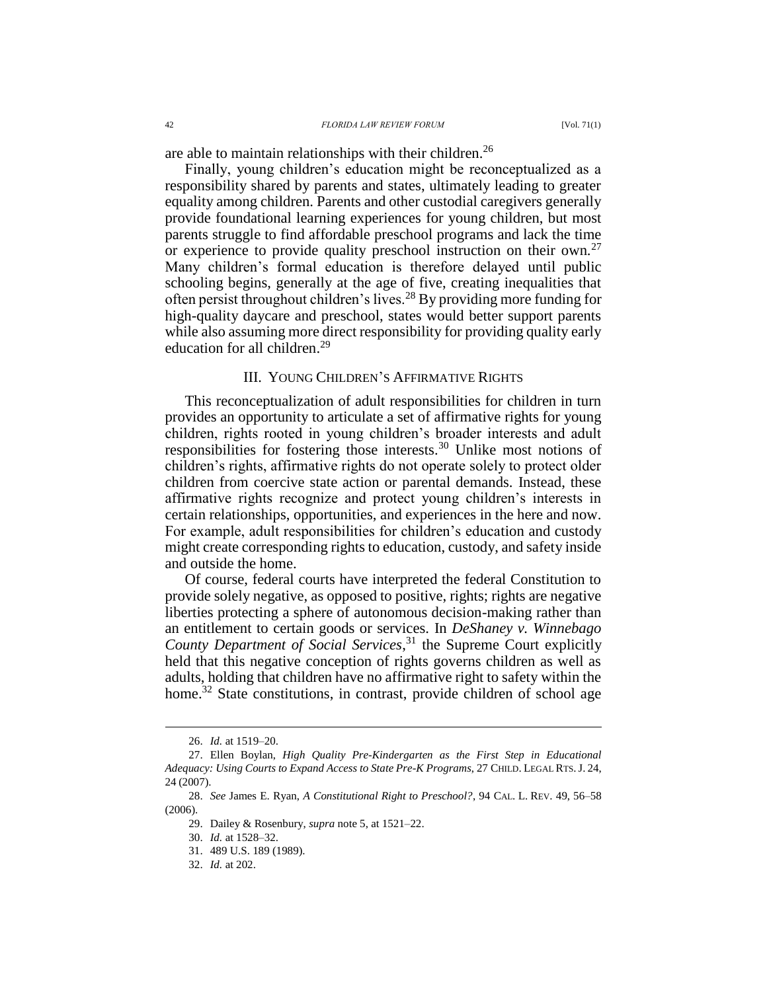are able to maintain relationships with their children.<sup>26</sup>

Finally, young children's education might be reconceptualized as a responsibility shared by parents and states, ultimately leading to greater equality among children. Parents and other custodial caregivers generally provide foundational learning experiences for young children, but most parents struggle to find affordable preschool programs and lack the time or experience to provide quality preschool instruction on their own.<sup>27</sup> Many children's formal education is therefore delayed until public schooling begins, generally at the age of five, creating inequalities that often persist throughout children's lives.<sup>28</sup> By providing more funding for high-quality daycare and preschool, states would better support parents while also assuming more direct responsibility for providing quality early education for all children.<sup>29</sup>

## III. YOUNG CHILDREN'S AFFIRMATIVE RIGHTS

This reconceptualization of adult responsibilities for children in turn provides an opportunity to articulate a set of affirmative rights for young children, rights rooted in young children's broader interests and adult responsibilities for fostering those interests.<sup>30</sup> Unlike most notions of children's rights, affirmative rights do not operate solely to protect older children from coercive state action or parental demands. Instead, these affirmative rights recognize and protect young children's interests in certain relationships, opportunities, and experiences in the here and now. For example, adult responsibilities for children's education and custody might create corresponding rights to education, custody, and safety inside and outside the home.

Of course, federal courts have interpreted the federal Constitution to provide solely negative, as opposed to positive, rights; rights are negative liberties protecting a sphere of autonomous decision-making rather than an entitlement to certain goods or services. In *DeShaney v. Winnebago County Department of Social Services*, <sup>31</sup> the Supreme Court explicitly held that this negative conception of rights governs children as well as adults, holding that children have no affirmative right to safety within the home.<sup>32</sup> State constitutions, in contrast, provide children of school age

<sup>26.</sup> *Id.* at 1519–20.

<sup>27.</sup> Ellen Boylan, *High Quality Pre-Kindergarten as the First Step in Educational Adequacy: Using Courts to Expand Access to State Pre-K Programs*, 27 CHILD. LEGAL RTS.J. 24, 24 (2007).

<sup>28.</sup> *See* James E. Ryan, *A Constitutional Right to Preschool?*, 94 CAL. L. REV. 49, 56–58 (2006).

<sup>29.</sup> Dailey & Rosenbury, *supra* not[e 5,](#page-1-1) at 1521–22.

<sup>30.</sup> *Id.* at 1528–32.

<sup>31.</sup> 489 U.S. 189 (1989).

<sup>32.</sup> *Id.* at 202.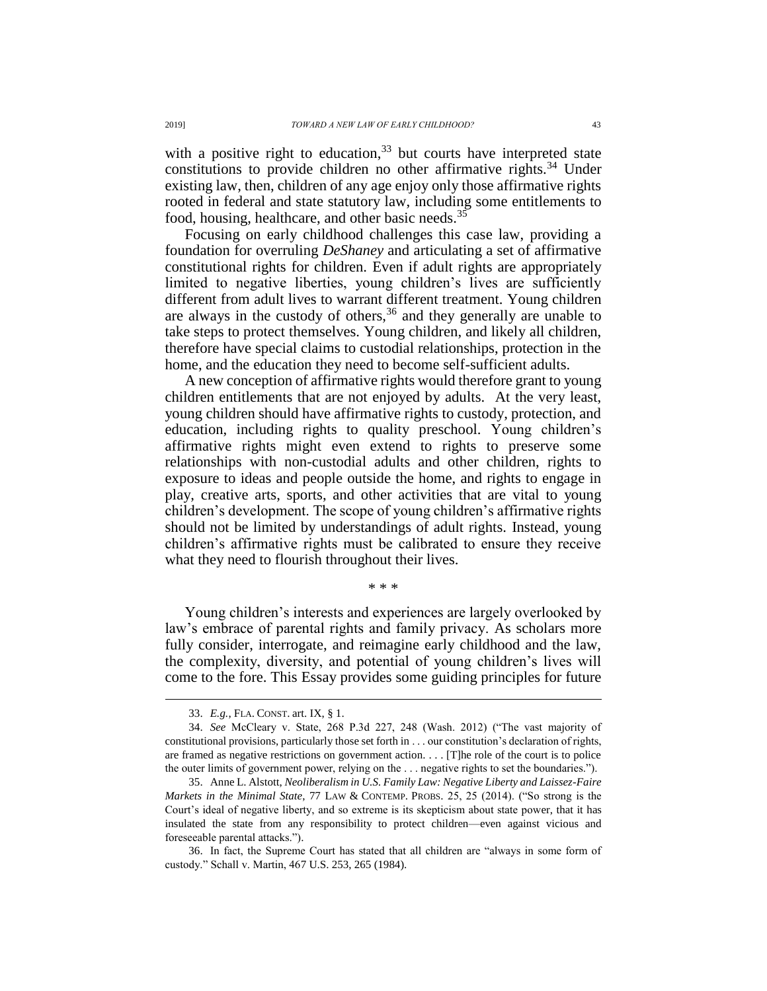with a positive right to education,  $33$  but courts have interpreted state constitutions to provide children no other affirmative rights.<sup>34</sup> Under existing law, then, children of any age enjoy only those affirmative rights rooted in federal and state statutory law, including some entitlements to food, housing, healthcare, and other basic needs.<sup>35</sup>

Focusing on early childhood challenges this case law, providing a foundation for overruling *DeShaney* and articulating a set of affirmative constitutional rights for children. Even if adult rights are appropriately limited to negative liberties, young children's lives are sufficiently different from adult lives to warrant different treatment. Young children are always in the custody of others,<sup>36</sup> and they generally are unable to take steps to protect themselves. Young children, and likely all children, therefore have special claims to custodial relationships, protection in the home, and the education they need to become self-sufficient adults.

A new conception of affirmative rights would therefore grant to young children entitlements that are not enjoyed by adults. At the very least, young children should have affirmative rights to custody, protection, and education, including rights to quality preschool. Young children's affirmative rights might even extend to rights to preserve some relationships with non-custodial adults and other children, rights to exposure to ideas and people outside the home, and rights to engage in play, creative arts, sports, and other activities that are vital to young children's development. The scope of young children's affirmative rights should not be limited by understandings of adult rights. Instead, young children's affirmative rights must be calibrated to ensure they receive what they need to flourish throughout their lives.

\* \* \*

Young children's interests and experiences are largely overlooked by law's embrace of parental rights and family privacy. As scholars more fully consider, interrogate, and reimagine early childhood and the law, the complexity, diversity, and potential of young children's lives will come to the fore. This Essay provides some guiding principles for future

<sup>33.</sup> *E.g.*, FLA. CONST. art. IX, § 1.

<sup>34.</sup> *See* McCleary v. State, 268 P.3d 227, 248 (Wash. 2012) ("The vast majority of constitutional provisions, particularly those set forth in . . . our constitution's declaration of rights, are framed as negative restrictions on government action. . . . [T]he role of the court is to police the outer limits of government power, relying on the . . . negative rights to set the boundaries.").

<sup>35.</sup> Anne L. Alstott, *Neoliberalism in U.S. Family Law: Negative Liberty and Laissez-Faire Markets in the Minimal State*, 77 LAW & CONTEMP. PROBS. 25, 25 (2014). ("So strong is the Court's ideal of negative liberty, and so extreme is its skepticism about state power, that it has insulated the state from any responsibility to protect children—even against vicious and foreseeable parental attacks.").

<sup>36.</sup> In fact, the Supreme Court has stated that all children are "always in some form of custody." Schall v. Martin, 467 U.S. 253, 265 (1984).